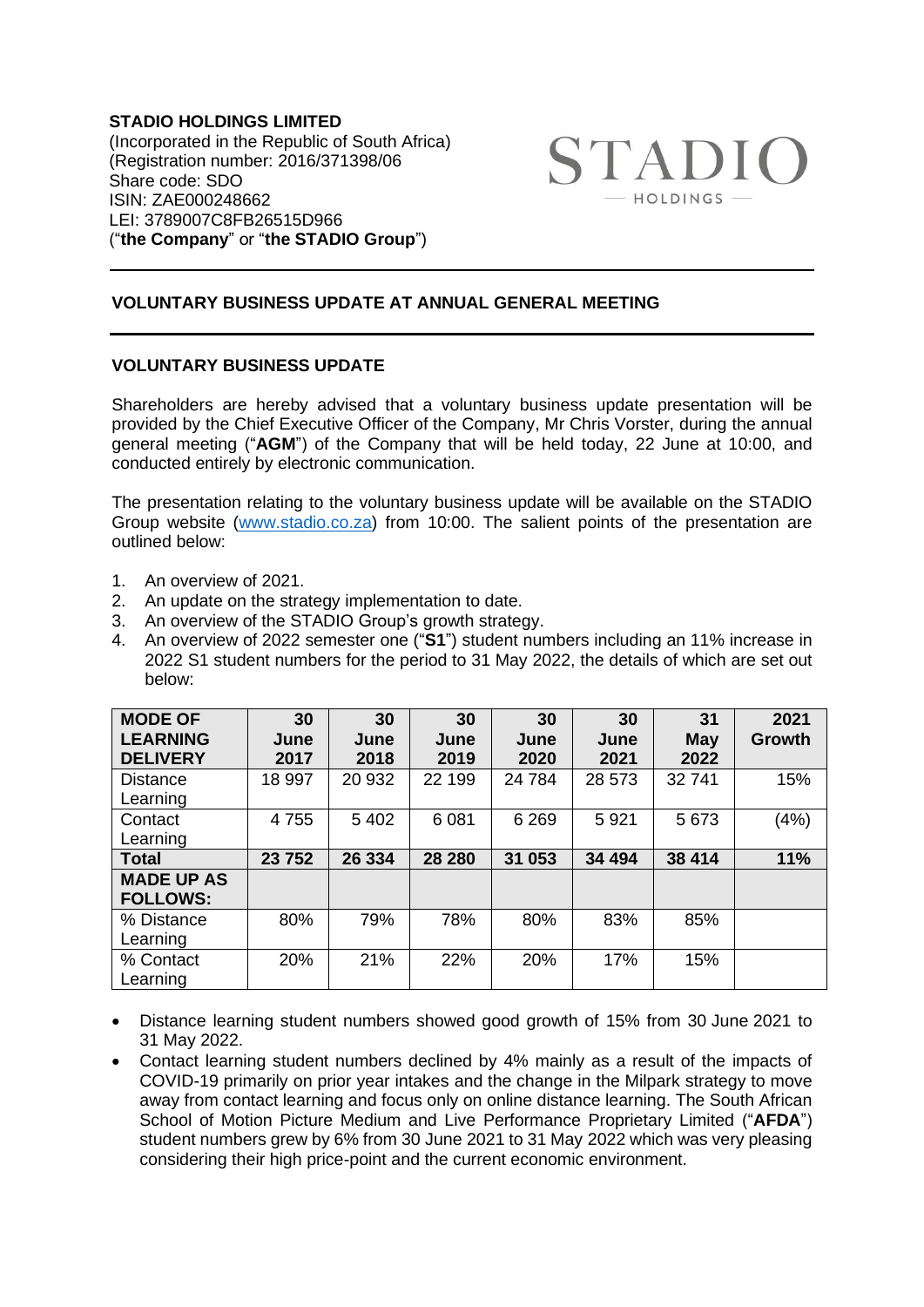**STADIO HOLDINGS LIMITED** (Incorporated in the Republic of South Africa) (Registration number: 2016/371398/06 Share code: SDO ISIN: ZAE000248662 LEI: 3789007C8FB26515D966 ("**the Company**" or "**the STADIO Group**")



## **VOLUNTARY BUSINESS UPDATE AT ANNUAL GENERAL MEETING**

## **VOLUNTARY BUSINESS UPDATE**

Shareholders are hereby advised that a voluntary business update presentation will be provided by the Chief Executive Officer of the Company, Mr Chris Vorster, during the annual general meeting ("**AGM**") of the Company that will be held today, 22 June at 10:00, and conducted entirely by electronic communication.

The presentation relating to the voluntary business update will be available on the STADIO Group website [\(www.stadio.co.za\)](http://www.stadio.co.za/) from 10:00. The salient points of the presentation are outlined below:

- 1. An overview of 2021.
- 2. An update on the strategy implementation to date.
- 3. An overview of the STADIO Group's growth strategy.
- 4. An overview of 2022 semester one ("**S1**") student numbers including an 11% increase in 2022 S1 student numbers for the period to 31 May 2022, the details of which are set out below:

| <b>MODE OF</b><br><b>LEARNING</b><br><b>DELIVERY</b> | 30<br>June<br>2017 | 30<br>June<br>2018 | 30<br>June<br>2019 | 30<br>June<br>2020 | 30<br>June<br>2021 | 31<br><b>May</b><br>2022 | 2021<br>Growth |
|------------------------------------------------------|--------------------|--------------------|--------------------|--------------------|--------------------|--------------------------|----------------|
| <b>Distance</b><br>Learning                          | 18 997             | 20 932             | 22 199             | 24 7 84            | 28 573             | 32741                    | 15%            |
| Contact<br>Learning                                  | 4755               | 5 4 0 2            | 6081               | 6 2 6 9            | 5921               | 5673                     | (4%)           |
| <b>Total</b>                                         | 23752              | 26 334             | 28 280             | 31 053             | 34 494             | 38 414                   | 11%            |
| <b>MADE UP AS</b><br><b>FOLLOWS:</b>                 |                    |                    |                    |                    |                    |                          |                |
| % Distance<br>Learning                               | 80%                | 79%                | 78%                | 80%                | 83%                | 85%                      |                |
| % Contact<br>Learning                                | 20%                | 21%                | 22%                | 20%                | 17%                | 15%                      |                |

- Distance learning student numbers showed good growth of 15% from 30 June 2021 to 31 May 2022.
- Contact learning student numbers declined by 4% mainly as a result of the impacts of COVID-19 primarily on prior year intakes and the change in the Milpark strategy to move away from contact learning and focus only on online distance learning. The South African School of Motion Picture Medium and Live Performance Proprietary Limited ("**AFDA**") student numbers grew by 6% from 30 June 2021 to 31 May 2022 which was very pleasing considering their high price-point and the current economic environment.